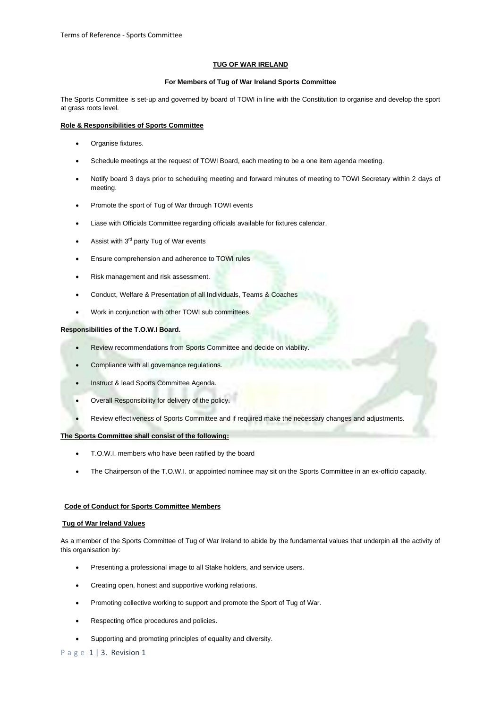#### **TUG OF WAR IRELAND**

#### **For Members of Tug of War Ireland Sports Committee**

The Sports Committee is set-up and governed by board of TOWI in line with the Constitution to organise and develop the sport at grass roots level.

## **Role & Responsibilities of Sports Committee**

- Organise fixtures.
- Schedule meetings at the request of TOWI Board, each meeting to be a one item agenda meeting.
- Notify board 3 days prior to scheduling meeting and forward minutes of meeting to TOWI Secretary within 2 days of meeting.
- Promote the sport of Tug of War through TOWI events
- Liase with Officials Committee regarding officials available for fixtures calendar.
- Assist with  $3<sup>rd</sup>$  party Tug of War events
- Ensure comprehension and adherence to TOWI rules
- Risk management and risk assessment.
- Conduct, Welfare & Presentation of all Individuals, Teams & Coaches
- Work in conjunction with other TOWI sub committees.

## **Responsibilities of the T.O.W.I Board.**

- Review recommendations from Sports Committee and decide on viability.
- Compliance with all governance regulations.
- Instruct & lead Sports Committee Agenda.
- Overall Responsibility for delivery of the policy.
- Review effectiveness of Sports Committee and if required make the necessary changes and adjustments.

# **The Sports Committee shall consist of the following:**

- T.O.W.I. members who have been ratified by the board
- The Chairperson of the T.O.W.I. or appointed nominee may sit on the Sports Committee in an ex-officio capacity.

## **Code of Conduct for Sports Committee Members**

#### **Tug of War Ireland Values**

As a member of the Sports Committee of Tug of War Ireland to abide by the fundamental values that underpin all the activity of this organisation by:

- Presenting a professional image to all Stake holders, and service users.
- Creating open, honest and supportive working relations.
- Promoting collective working to support and promote the Sport of Tug of War.
- Respecting office procedures and policies.
- Supporting and promoting principles of equality and diversity.

P a g e 1 | 3. Revision 1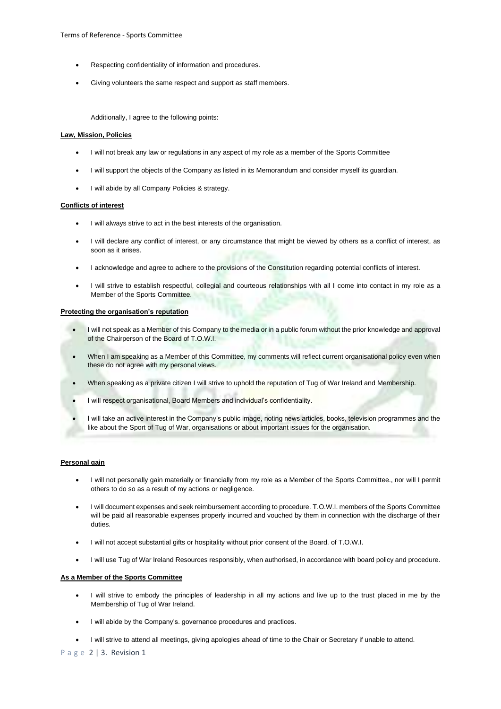- Respecting confidentiality of information and procedures.
- Giving volunteers the same respect and support as staff members.

Additionally, I agree to the following points:

#### **Law, Mission, Policies**

- I will not break any law or regulations in any aspect of my role as a member of the Sports Committee
- I will support the objects of the Company as listed in its Memorandum and consider myself its guardian.
- I will abide by all Company Policies & strategy.

#### **Conflicts of interest**

- I will always strive to act in the best interests of the organisation.
- I will declare any conflict of interest, or any circumstance that might be viewed by others as a conflict of interest, as soon as it arises.
- I acknowledge and agree to adhere to the provisions of the Constitution regarding potential conflicts of interest.
- I will strive to establish respectful, collegial and courteous relationships with all I come into contact in my role as a Member of the Sports Committee.

## **Protecting the organisation's reputation**

- I will not speak as a Member of this Company to the media or in a public forum without the prior knowledge and approval of the Chairperson of the Board of T.O.W.I.
- When I am speaking as a Member of this Committee, my comments will reflect current organisational policy even when these do not agree with my personal views.
- When speaking as a private citizen I will strive to uphold the reputation of Tug of War Ireland and Membership.
- I will respect organisational, Board Members and individual's confidentiality.
- I will take an active interest in the Company's public image, noting news articles, books, television programmes and the like about the Sport of Tug of War, organisations or about important issues for the organisation.

#### **Personal gain**

- I will not personally gain materially or financially from my role as a Member of the Sports Committee., nor will I permit others to do so as a result of my actions or negligence.
- I will document expenses and seek reimbursement according to procedure. T.O.W.I. members of the Sports Committee will be paid all reasonable expenses properly incurred and vouched by them in connection with the discharge of their duties.
- I will not accept substantial gifts or hospitality without prior consent of the Board. of T.O.W.I.
- I will use Tug of War Ireland Resources responsibly, when authorised, in accordance with board policy and procedure.

## **As a Member of the Sports Committee**

- I will strive to embody the principles of leadership in all my actions and live up to the trust placed in me by the Membership of Tug of War Ireland.
- I will abide by the Company's. governance procedures and practices.
- I will strive to attend all meetings, giving apologies ahead of time to the Chair or Secretary if unable to attend.

P a g e 2 | 3. Revision 1